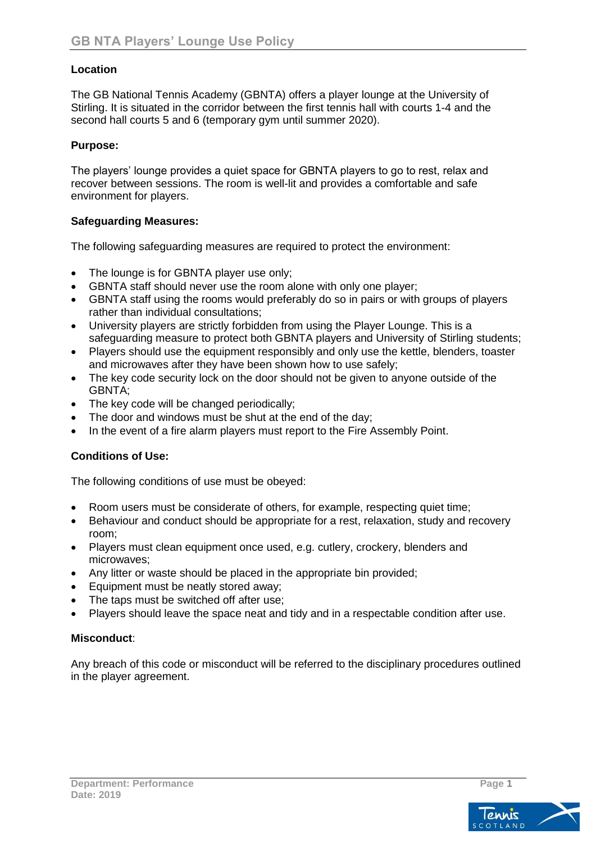### **Location**

The GB National Tennis Academy (GBNTA) offers a player lounge at the University of Stirling. It is situated in the corridor between the first tennis hall with courts 1-4 and the second hall courts 5 and 6 (temporary gym until summer 2020).

#### **Purpose:**

The players' lounge provides a quiet space for GBNTA players to go to rest, relax and recover between sessions. The room is well-lit and provides a comfortable and safe environment for players.

#### **Safeguarding Measures:**

The following safeguarding measures are required to protect the environment:

- The lounge is for GBNTA player use only;
- GBNTA staff should never use the room alone with only one player;
- GBNTA staff using the rooms would preferably do so in pairs or with groups of players rather than individual consultations;
- University players are strictly forbidden from using the Player Lounge. This is a safeguarding measure to protect both GBNTA players and University of Stirling students;
- Players should use the equipment responsibly and only use the kettle, blenders, toaster and microwaves after they have been shown how to use safely;
- The key code security lock on the door should not be given to anyone outside of the GBNTA;
- The key code will be changed periodically;
- The door and windows must be shut at the end of the day;
- In the event of a fire alarm players must report to the Fire Assembly Point.

#### **Conditions of Use:**

The following conditions of use must be obeyed:

- Room users must be considerate of others, for example, respecting quiet time;
- Behaviour and conduct should be appropriate for a rest, relaxation, study and recovery room;
- Players must clean equipment once used, e.g. cutlery, crockery, blenders and microwaves;
- Any litter or waste should be placed in the appropriate bin provided;
- Equipment must be neatly stored away:
- The taps must be switched off after use;
- Players should leave the space neat and tidy and in a respectable condition after use.

#### **Misconduct**:

Any breach of this code or misconduct will be referred to the disciplinary procedures outlined in the player agreement.